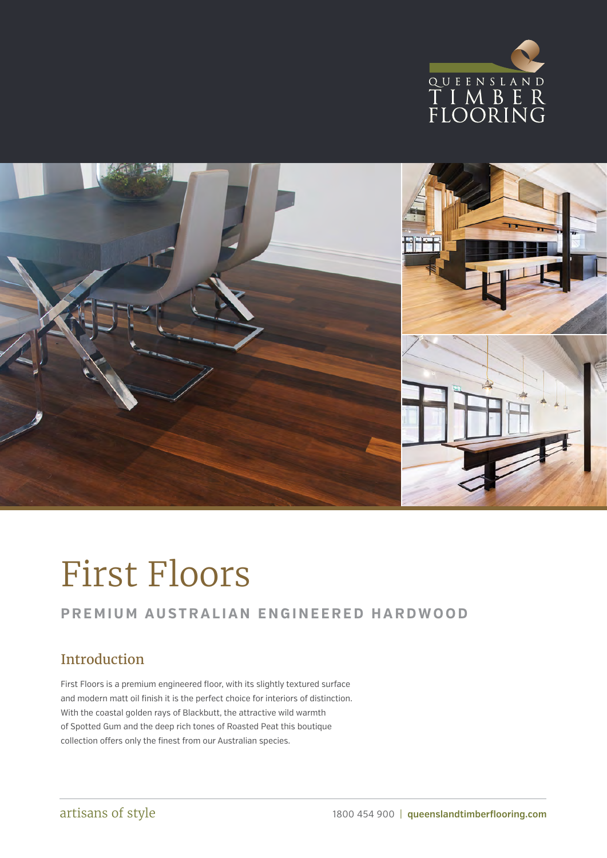



# First Floors

### **PREMIUM AUSTRALIAN ENGINEERED HARDWOOD**

### Introduction

First Floors is a premium engineered floor, with its slightly textured surface and modern matt oil finish it is the perfect choice for interiors of distinction. With the coastal golden rays of Blackbutt, the attractive wild warmth of Spotted Gum and the deep rich tones of Roasted Peat this boutique collection offers only the finest from our Australian species.